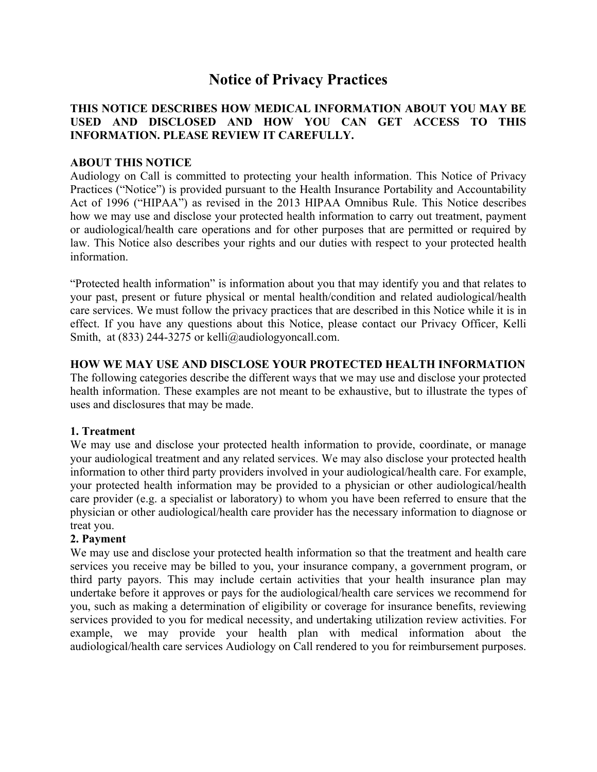# **Notice of Privacy Practices**

## **THIS NOTICE DESCRIBES HOW MEDICAL INFORMATION ABOUT YOU MAY BE USED AND DISCLOSED AND HOW YOU CAN GET ACCESS TO THIS INFORMATION. PLEASE REVIEW IT CAREFULLY.**

#### **ABOUT THIS NOTICE**

Audiology on Call is committed to protecting your health information. This Notice of Privacy Practices ("Notice") is provided pursuant to the Health Insurance Portability and Accountability Act of 1996 ("HIPAA") as revised in the 2013 HIPAA Omnibus Rule. This Notice describes how we may use and disclose your protected health information to carry out treatment, payment or audiological/health care operations and for other purposes that are permitted or required by law. This Notice also describes your rights and our duties with respect to your protected health information.

"Protected health information" is information about you that may identify you and that relates to your past, present or future physical or mental health/condition and related audiological/health care services. We must follow the privacy practices that are described in this Notice while it is in effect. If you have any questions about this Notice, please contact our Privacy Officer, Kelli Smith, at (833) 244-3275 or kelli@audiologyoncall.com.

## **HOW WE MAY USE AND DISCLOSE YOUR PROTECTED HEALTH INFORMATION**

The following categories describe the different ways that we may use and disclose your protected health information. These examples are not meant to be exhaustive, but to illustrate the types of uses and disclosures that may be made.

#### **1. Treatment**

We may use and disclose your protected health information to provide, coordinate, or manage your audiological treatment and any related services. We may also disclose your protected health information to other third party providers involved in your audiological/health care. For example, your protected health information may be provided to a physician or other audiological/health care provider (e.g. a specialist or laboratory) to whom you have been referred to ensure that the physician or other audiological/health care provider has the necessary information to diagnose or treat you.

#### **2. Payment**

We may use and disclose your protected health information so that the treatment and health care services you receive may be billed to you, your insurance company, a government program, or third party payors. This may include certain activities that your health insurance plan may undertake before it approves or pays for the audiological/health care services we recommend for you, such as making a determination of eligibility or coverage for insurance benefits, reviewing services provided to you for medical necessity, and undertaking utilization review activities. For example, we may provide your health plan with medical information about the audiological/health care services Audiology on Call rendered to you for reimbursement purposes.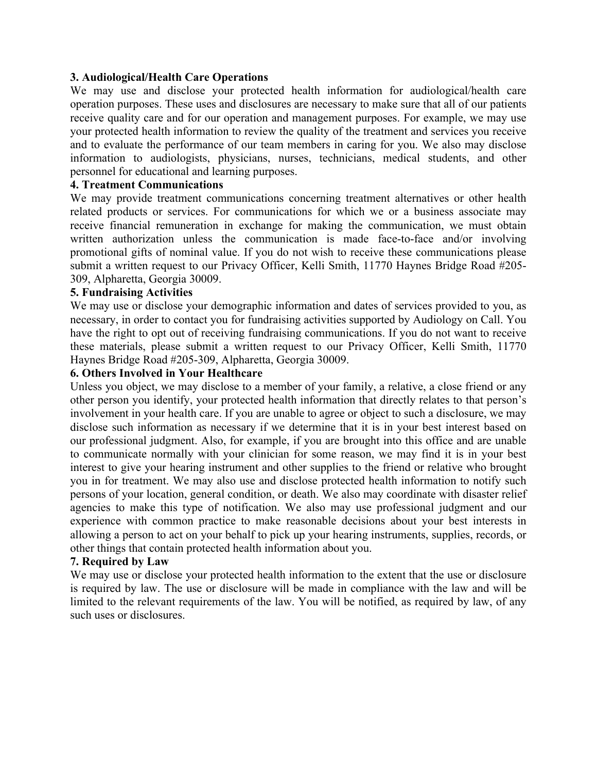#### **3. Audiological/Health Care Operations**

We may use and disclose your protected health information for audiological/health care operation purposes. These uses and disclosures are necessary to make sure that all of our patients receive quality care and for our operation and management purposes. For example, we may use your protected health information to review the quality of the treatment and services you receive and to evaluate the performance of our team members in caring for you. We also may disclose information to audiologists, physicians, nurses, technicians, medical students, and other personnel for educational and learning purposes.

#### **4. Treatment Communications**

We may provide treatment communications concerning treatment alternatives or other health related products or services. For communications for which we or a business associate may receive financial remuneration in exchange for making the communication, we must obtain written authorization unless the communication is made face-to-face and/or involving promotional gifts of nominal value. If you do not wish to receive these communications please submit a written request to our Privacy Officer, Kelli Smith, 11770 Haynes Bridge Road #205- 309, Alpharetta, Georgia 30009.

### **5. Fundraising Activities**

We may use or disclose your demographic information and dates of services provided to you, as necessary, in order to contact you for fundraising activities supported by Audiology on Call. You have the right to opt out of receiving fundraising communications. If you do not want to receive these materials, please submit a written request to our Privacy Officer, Kelli Smith, 11770 Haynes Bridge Road #205-309, Alpharetta, Georgia 30009.

#### **6. Others Involved in Your Healthcare**

Unless you object, we may disclose to a member of your family, a relative, a close friend or any other person you identify, your protected health information that directly relates to that person's involvement in your health care. If you are unable to agree or object to such a disclosure, we may disclose such information as necessary if we determine that it is in your best interest based on our professional judgment. Also, for example, if you are brought into this office and are unable to communicate normally with your clinician for some reason, we may find it is in your best interest to give your hearing instrument and other supplies to the friend or relative who brought you in for treatment. We may also use and disclose protected health information to notify such persons of your location, general condition, or death. We also may coordinate with disaster relief agencies to make this type of notification. We also may use professional judgment and our experience with common practice to make reasonable decisions about your best interests in allowing a person to act on your behalf to pick up your hearing instruments, supplies, records, or other things that contain protected health information about you.

#### **7. Required by Law**

We may use or disclose your protected health information to the extent that the use or disclosure is required by law. The use or disclosure will be made in compliance with the law and will be limited to the relevant requirements of the law. You will be notified, as required by law, of any such uses or disclosures.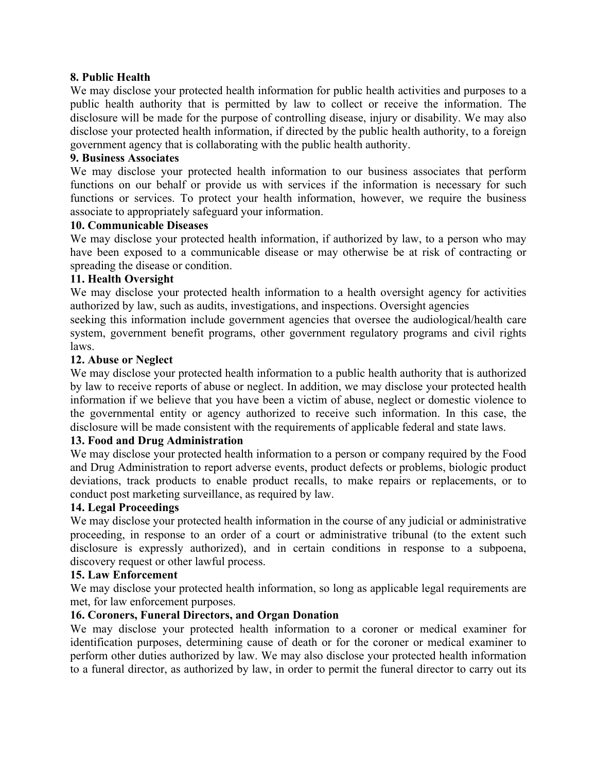## **8. Public Health**

We may disclose your protected health information for public health activities and purposes to a public health authority that is permitted by law to collect or receive the information. The disclosure will be made for the purpose of controlling disease, injury or disability. We may also disclose your protected health information, if directed by the public health authority, to a foreign government agency that is collaborating with the public health authority.

## **9. Business Associates**

We may disclose your protected health information to our business associates that perform functions on our behalf or provide us with services if the information is necessary for such functions or services. To protect your health information, however, we require the business associate to appropriately safeguard your information.

## **10. Communicable Diseases**

We may disclose your protected health information, if authorized by law, to a person who may have been exposed to a communicable disease or may otherwise be at risk of contracting or spreading the disease or condition.

#### **11. Health Oversight**

We may disclose your protected health information to a health oversight agency for activities authorized by law, such as audits, investigations, and inspections. Oversight agencies

seeking this information include government agencies that oversee the audiological/health care system, government benefit programs, other government regulatory programs and civil rights laws.

#### **12. Abuse or Neglect**

We may disclose your protected health information to a public health authority that is authorized by law to receive reports of abuse or neglect. In addition, we may disclose your protected health information if we believe that you have been a victim of abuse, neglect or domestic violence to the governmental entity or agency authorized to receive such information. In this case, the disclosure will be made consistent with the requirements of applicable federal and state laws.

#### **13. Food and Drug Administration**

We may disclose your protected health information to a person or company required by the Food and Drug Administration to report adverse events, product defects or problems, biologic product deviations, track products to enable product recalls, to make repairs or replacements, or to conduct post marketing surveillance, as required by law.

#### **14. Legal Proceedings**

We may disclose your protected health information in the course of any judicial or administrative proceeding, in response to an order of a court or administrative tribunal (to the extent such disclosure is expressly authorized), and in certain conditions in response to a subpoena, discovery request or other lawful process.

#### **15. Law Enforcement**

We may disclose your protected health information, so long as applicable legal requirements are met, for law enforcement purposes.

# **16. Coroners, Funeral Directors, and Organ Donation**

We may disclose your protected health information to a coroner or medical examiner for identification purposes, determining cause of death or for the coroner or medical examiner to perform other duties authorized by law. We may also disclose your protected health information to a funeral director, as authorized by law, in order to permit the funeral director to carry out its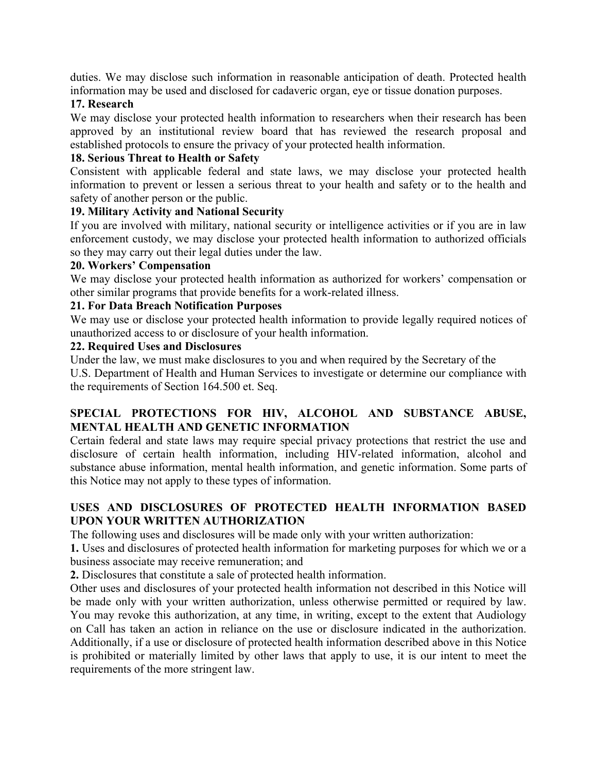duties. We may disclose such information in reasonable anticipation of death. Protected health information may be used and disclosed for cadaveric organ, eye or tissue donation purposes.

#### **17. Research**

We may disclose your protected health information to researchers when their research has been approved by an institutional review board that has reviewed the research proposal and established protocols to ensure the privacy of your protected health information.

# **18. Serious Threat to Health or Safety**

Consistent with applicable federal and state laws, we may disclose your protected health information to prevent or lessen a serious threat to your health and safety or to the health and safety of another person or the public.

# **19. Military Activity and National Security**

If you are involved with military, national security or intelligence activities or if you are in law enforcement custody, we may disclose your protected health information to authorized officials so they may carry out their legal duties under the law.

## **20. Workers' Compensation**

We may disclose your protected health information as authorized for workers' compensation or other similar programs that provide benefits for a work-related illness.

# **21. For Data Breach Notification Purposes**

We may use or disclose your protected health information to provide legally required notices of unauthorized access to or disclosure of your health information.

#### **22. Required Uses and Disclosures**

Under the law, we must make disclosures to you and when required by the Secretary of the

U.S. Department of Health and Human Services to investigate or determine our compliance with the requirements of Section 164.500 et. Seq.

# **SPECIAL PROTECTIONS FOR HIV, ALCOHOL AND SUBSTANCE ABUSE, MENTAL HEALTH AND GENETIC INFORMATION**

Certain federal and state laws may require special privacy protections that restrict the use and disclosure of certain health information, including HIV-related information, alcohol and substance abuse information, mental health information, and genetic information. Some parts of this Notice may not apply to these types of information.

# **USES AND DISCLOSURES OF PROTECTED HEALTH INFORMATION BASED UPON YOUR WRITTEN AUTHORIZATION**

The following uses and disclosures will be made only with your written authorization:

**1.** Uses and disclosures of protected health information for marketing purposes for which we or a business associate may receive remuneration; and

**2.** Disclosures that constitute a sale of protected health information.

Other uses and disclosures of your protected health information not described in this Notice will be made only with your written authorization, unless otherwise permitted or required by law. You may revoke this authorization, at any time, in writing, except to the extent that Audiology on Call has taken an action in reliance on the use or disclosure indicated in the authorization. Additionally, if a use or disclosure of protected health information described above in this Notice is prohibited or materially limited by other laws that apply to use, it is our intent to meet the requirements of the more stringent law.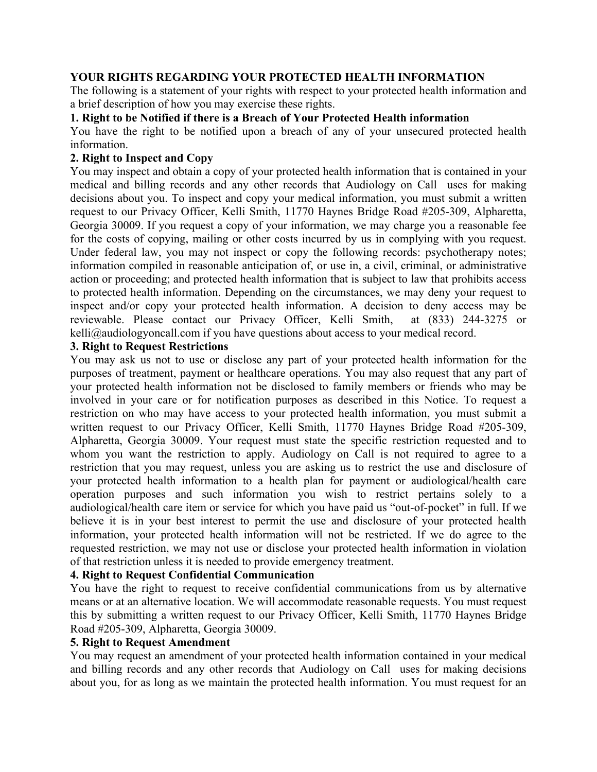### **YOUR RIGHTS REGARDING YOUR PROTECTED HEALTH INFORMATION**

The following is a statement of your rights with respect to your protected health information and a brief description of how you may exercise these rights.

#### **1. Right to be Notified if there is a Breach of Your Protected Health information**

You have the right to be notified upon a breach of any of your unsecured protected health information.

## **2. Right to Inspect and Copy**

You may inspect and obtain a copy of your protected health information that is contained in your medical and billing records and any other records that Audiology on Call uses for making decisions about you. To inspect and copy your medical information, you must submit a written request to our Privacy Officer, Kelli Smith, 11770 Haynes Bridge Road #205-309, Alpharetta, Georgia 30009. If you request a copy of your information, we may charge you a reasonable fee for the costs of copying, mailing or other costs incurred by us in complying with you request. Under federal law, you may not inspect or copy the following records: psychotherapy notes; information compiled in reasonable anticipation of, or use in, a civil, criminal, or administrative action or proceeding; and protected health information that is subject to law that prohibits access to protected health information. Depending on the circumstances, we may deny your request to inspect and/or copy your protected health information. A decision to deny access may be reviewable. Please contact our Privacy Officer, Kelli Smith, at (833) 244-3275 or kelli@audiologyoncall.com if you have questions about access to your medical record.

#### **3. Right to Request Restrictions**

You may ask us not to use or disclose any part of your protected health information for the purposes of treatment, payment or healthcare operations. You may also request that any part of your protected health information not be disclosed to family members or friends who may be involved in your care or for notification purposes as described in this Notice. To request a restriction on who may have access to your protected health information, you must submit a written request to our Privacy Officer, Kelli Smith, 11770 Haynes Bridge Road #205-309, Alpharetta, Georgia 30009. Your request must state the specific restriction requested and to whom you want the restriction to apply. Audiology on Call is not required to agree to a restriction that you may request, unless you are asking us to restrict the use and disclosure of your protected health information to a health plan for payment or audiological/health care operation purposes and such information you wish to restrict pertains solely to a audiological/health care item or service for which you have paid us "out-of-pocket" in full. If we believe it is in your best interest to permit the use and disclosure of your protected health information, your protected health information will not be restricted. If we do agree to the requested restriction, we may not use or disclose your protected health information in violation of that restriction unless it is needed to provide emergency treatment.

# **4. Right to Request Confidential Communication**

You have the right to request to receive confidential communications from us by alternative means or at an alternative location. We will accommodate reasonable requests. You must request this by submitting a written request to our Privacy Officer, Kelli Smith, 11770 Haynes Bridge Road #205-309, Alpharetta, Georgia 30009.

#### **5. Right to Request Amendment**

You may request an amendment of your protected health information contained in your medical and billing records and any other records that Audiology on Call uses for making decisions about you, for as long as we maintain the protected health information. You must request for an